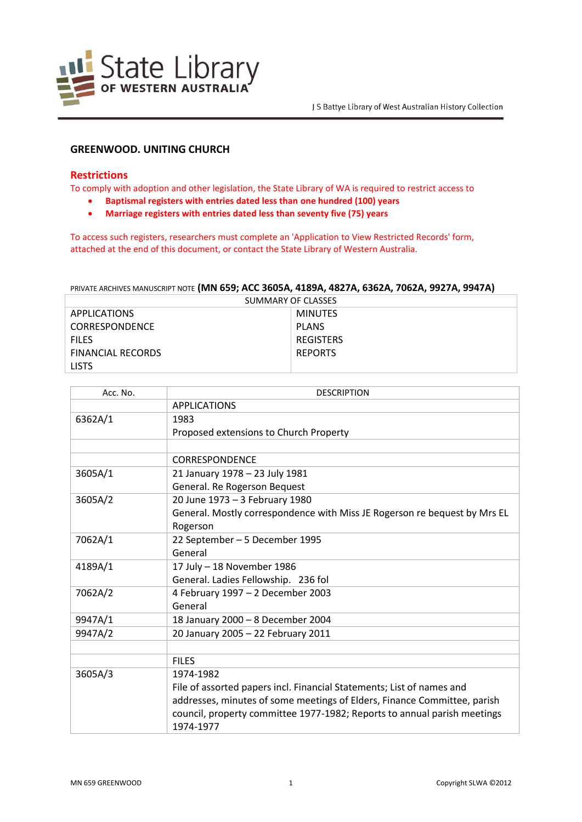

# **GREENWOOD. UNITING CHURCH**

### **Restrictions**

To comply with adoption and other legislation, the State Library of WA is required to restrict access to

- **Baptismal registers with entries dated less than one hundred (100) years**
- **Marriage registers with entries dated less than seventy five (75) years**

To access such registers, researchers must complete an 'Application to View Restricted Records' form, attached at the end of this document, or contact the State Library of Western Australia.

#### PRIVATE ARCHIVES MANUSCRIPT NOTE **(MN 659; ACC 3605A, 4189A, 4827A, 6362A, 7062A, 9927A, 9947A)**

| SUMMARY OF CLASSES       |                  |  |
|--------------------------|------------------|--|
| APPLICATIONS             | <b>MINUTES</b>   |  |
| <b>CORRESPONDENCE</b>    | PLANS            |  |
| <b>FILES</b>             | <b>REGISTERS</b> |  |
| <b>FINANCIAL RECORDS</b> | <b>REPORTS</b>   |  |
| <b>LISTS</b>             |                  |  |

| Acc. No. | <b>DESCRIPTION</b>                                                        |
|----------|---------------------------------------------------------------------------|
|          | <b>APPLICATIONS</b>                                                       |
| 6362A/1  | 1983                                                                      |
|          | Proposed extensions to Church Property                                    |
|          |                                                                           |
|          | <b>CORRESPONDENCE</b>                                                     |
| 3605A/1  | 21 January 1978 - 23 July 1981                                            |
|          | General. Re Rogerson Bequest                                              |
| 3605A/2  | 20 June 1973 - 3 February 1980                                            |
|          | General. Mostly correspondence with Miss JE Rogerson re bequest by Mrs EL |
|          | Rogerson                                                                  |
| 7062A/1  | 22 September - 5 December 1995                                            |
|          | General                                                                   |
| 4189A/1  | 17 July - 18 November 1986                                                |
|          | General. Ladies Fellowship. 236 fol                                       |
| 7062A/2  | 4 February 1997 - 2 December 2003                                         |
|          | General                                                                   |
| 9947A/1  | 18 January 2000 - 8 December 2004                                         |
| 9947A/2  | 20 January 2005 - 22 February 2011                                        |
|          |                                                                           |
|          | <b>FILES</b>                                                              |
| 3605A/3  | 1974-1982                                                                 |
|          | File of assorted papers incl. Financial Statements; List of names and     |
|          | addresses, minutes of some meetings of Elders, Finance Committee, parish  |
|          | council, property committee 1977-1982; Reports to annual parish meetings  |
|          | 1974-1977                                                                 |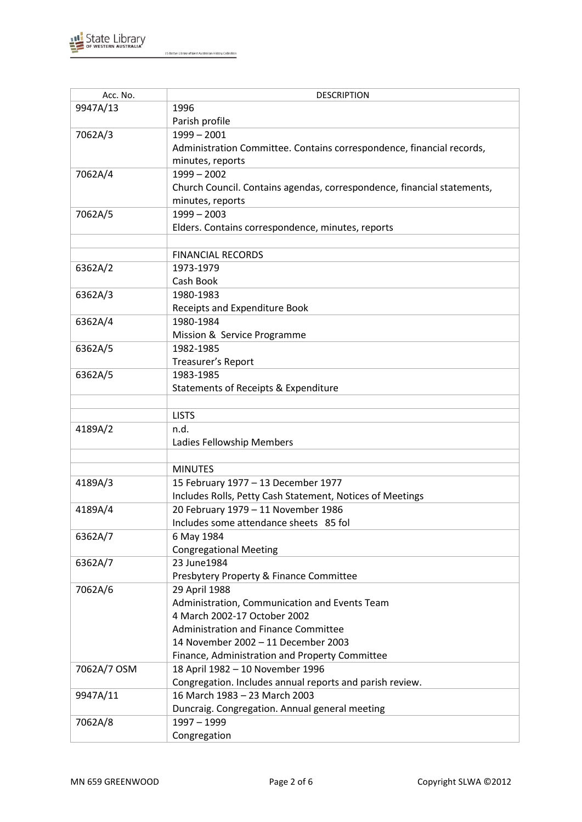

| Acc. No.    | <b>DESCRIPTION</b>                                                      |
|-------------|-------------------------------------------------------------------------|
| 9947A/13    | 1996                                                                    |
|             | Parish profile                                                          |
| 7062A/3     | $1999 - 2001$                                                           |
|             | Administration Committee. Contains correspondence, financial records,   |
|             | minutes, reports                                                        |
| 7062A/4     | $1999 - 2002$                                                           |
|             | Church Council. Contains agendas, correspondence, financial statements, |
|             | minutes, reports                                                        |
| 7062A/5     | $1999 - 2003$                                                           |
|             | Elders. Contains correspondence, minutes, reports                       |
|             |                                                                         |
|             | <b>FINANCIAL RECORDS</b>                                                |
| 6362A/2     | 1973-1979                                                               |
|             | Cash Book                                                               |
| 6362A/3     |                                                                         |
|             | 1980-1983                                                               |
|             | Receipts and Expenditure Book<br>1980-1984                              |
| 6362A/4     |                                                                         |
|             | Mission & Service Programme                                             |
| 6362A/5     | 1982-1985                                                               |
|             | Treasurer's Report                                                      |
| 6362A/5     | 1983-1985                                                               |
|             | Statements of Receipts & Expenditure                                    |
|             |                                                                         |
|             | <b>LISTS</b>                                                            |
| 4189A/2     | n.d.                                                                    |
|             | Ladies Fellowship Members                                               |
|             |                                                                         |
|             | <b>MINUTES</b>                                                          |
| 4189A/3     | 15 February 1977 - 13 December 1977                                     |
|             | Includes Rolls, Petty Cash Statement, Notices of Meetings               |
| 4189A/4     | 20 February 1979 - 11 November 1986                                     |
|             | Includes some attendance sheets 85 fol                                  |
| 6362A/7     | 6 May 1984                                                              |
|             | <b>Congregational Meeting</b>                                           |
| 6362A/7     | 23 June1984                                                             |
|             | Presbytery Property & Finance Committee                                 |
| 7062A/6     | 29 April 1988                                                           |
|             | Administration, Communication and Events Team                           |
|             | 4 March 2002-17 October 2002                                            |
|             | Administration and Finance Committee                                    |
|             | 14 November 2002 - 11 December 2003                                     |
|             | Finance, Administration and Property Committee                          |
| 7062A/7 OSM | 18 April 1982 - 10 November 1996                                        |
|             | Congregation. Includes annual reports and parish review.                |
| 9947A/11    | 16 March 1983 - 23 March 2003                                           |
|             | Duncraig. Congregation. Annual general meeting                          |
| 7062A/8     | $1997 - 1999$                                                           |
|             | Congregation                                                            |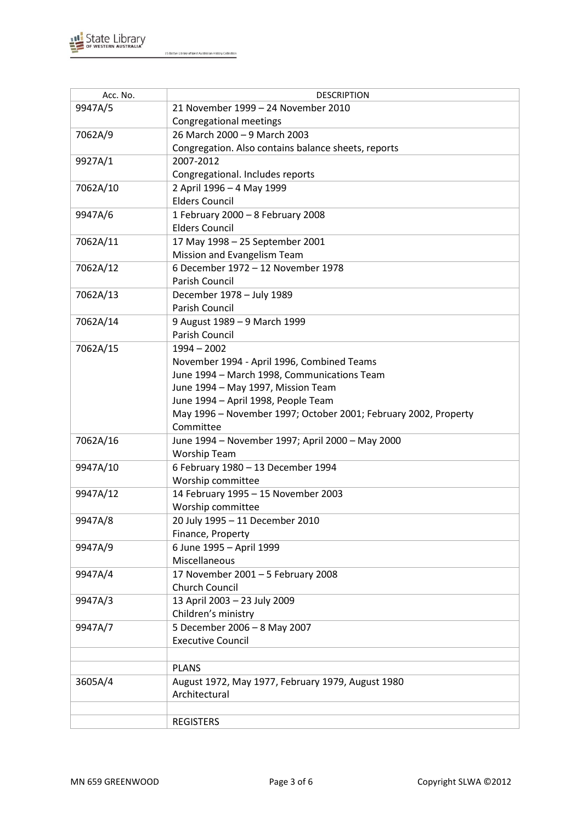

| Acc. No. | <b>DESCRIPTION</b>                                              |
|----------|-----------------------------------------------------------------|
| 9947A/5  | 21 November 1999 - 24 November 2010                             |
|          | Congregational meetings                                         |
| 7062A/9  | 26 March 2000 - 9 March 2003                                    |
|          | Congregation. Also contains balance sheets, reports             |
| 9927A/1  | 2007-2012                                                       |
|          | Congregational. Includes reports                                |
| 7062A/10 | 2 April 1996 - 4 May 1999                                       |
|          | <b>Elders Council</b>                                           |
| 9947A/6  | 1 February 2000 - 8 February 2008                               |
|          | <b>Elders Council</b>                                           |
| 7062A/11 | 17 May 1998 - 25 September 2001                                 |
|          | Mission and Evangelism Team                                     |
| 7062A/12 | 6 December 1972 - 12 November 1978                              |
|          | <b>Parish Council</b>                                           |
| 7062A/13 | December 1978 - July 1989                                       |
|          | Parish Council                                                  |
| 7062A/14 | 9 August 1989 - 9 March 1999                                    |
|          | Parish Council                                                  |
| 7062A/15 | $1994 - 2002$                                                   |
|          | November 1994 - April 1996, Combined Teams                      |
|          | June 1994 - March 1998, Communications Team                     |
|          | June 1994 - May 1997, Mission Team                              |
|          | June 1994 - April 1998, People Team                             |
|          | May 1996 - November 1997; October 2001; February 2002, Property |
|          | Committee                                                       |
| 7062A/16 | June 1994 - November 1997; April 2000 - May 2000                |
|          | <b>Worship Team</b>                                             |
| 9947A/10 | 6 February 1980 - 13 December 1994                              |
|          | Worship committee                                               |
| 9947A/12 | 14 February 1995 - 15 November 2003                             |
|          | Worship committee                                               |
| 9947A/8  | 20 July 1995 - 11 December 2010                                 |
|          | Finance, Property                                               |
| 9947A/9  | 6 June 1995 - April 1999                                        |
|          | Miscellaneous                                                   |
| 9947A/4  | 17 November 2001 - 5 February 2008                              |
|          | Church Council                                                  |
| 9947A/3  | 13 April 2003 - 23 July 2009                                    |
|          | Children's ministry                                             |
| 9947A/7  | 5 December 2006 - 8 May 2007                                    |
|          | <b>Executive Council</b>                                        |
|          |                                                                 |
|          | <b>PLANS</b>                                                    |
| 3605A/4  | August 1972, May 1977, February 1979, August 1980               |
|          | Architectural                                                   |
|          |                                                                 |
|          | <b>REGISTERS</b>                                                |
|          |                                                                 |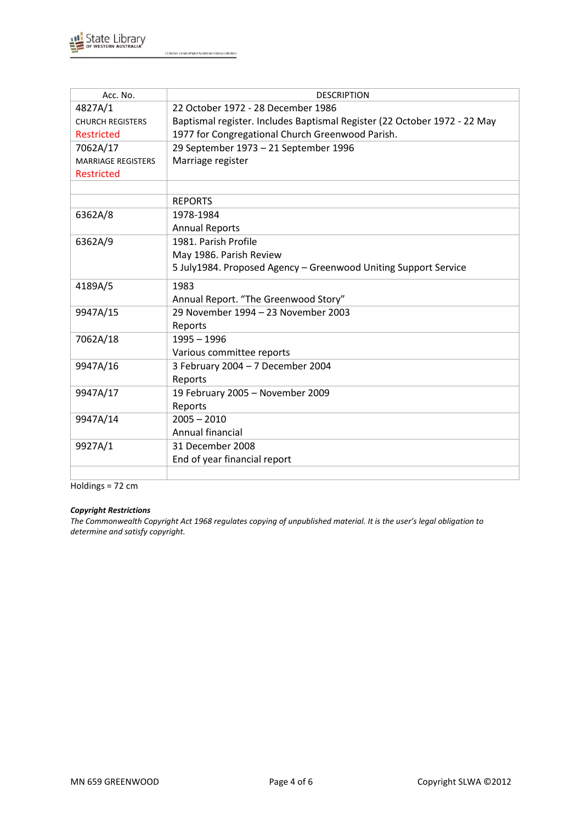

| Acc. No.                  | <b>DESCRIPTION</b>                                                        |
|---------------------------|---------------------------------------------------------------------------|
| 4827A/1                   | 22 October 1972 - 28 December 1986                                        |
| <b>CHURCH REGISTERS</b>   | Baptismal register. Includes Baptismal Register (22 October 1972 - 22 May |
| <b>Restricted</b>         | 1977 for Congregational Church Greenwood Parish.                          |
| 7062A/17                  | 29 September 1973 - 21 September 1996                                     |
| <b>MARRIAGE REGISTERS</b> | Marriage register                                                         |
| <b>Restricted</b>         |                                                                           |
|                           |                                                                           |
|                           | <b>REPORTS</b>                                                            |
| 6362A/8                   | 1978-1984                                                                 |
|                           | <b>Annual Reports</b>                                                     |
| 6362A/9                   | 1981. Parish Profile                                                      |
|                           | May 1986. Parish Review                                                   |
|                           | 5 July1984. Proposed Agency - Greenwood Uniting Support Service           |
| 4189A/5                   | 1983                                                                      |
|                           | Annual Report. "The Greenwood Story"                                      |
| 9947A/15                  | 29 November 1994 - 23 November 2003                                       |
|                           | Reports                                                                   |
| 7062A/18                  | $1995 - 1996$                                                             |
|                           | Various committee reports                                                 |
| 9947A/16                  | 3 February 2004 - 7 December 2004                                         |
|                           | Reports                                                                   |
| 9947A/17                  | 19 February 2005 - November 2009                                          |
|                           | Reports                                                                   |
| 9947A/14                  | $2005 - 2010$                                                             |
|                           | Annual financial                                                          |
| 9927A/1                   | 31 December 2008                                                          |
|                           | End of year financial report                                              |
|                           |                                                                           |

Holdings = 72 cm

## *Copyright Restrictions*

*The Commonwealth Copyright Act 1968 regulates copying of unpublished material. It is the user's legal obligation to determine and satisfy copyright.*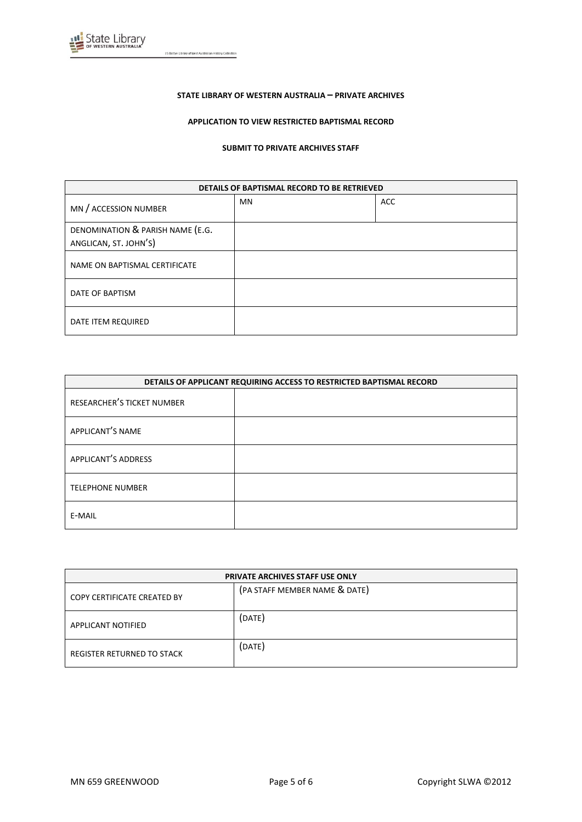

#### **STATE LIBRARY OF WESTERN AUSTRALIA – PRIVATE ARCHIVES**

#### **APPLICATION TO VIEW RESTRICTED BAPTISMAL RECORD**

#### **SUBMIT TO PRIVATE ARCHIVES STAFF**

| DETAILS OF BAPTISMAL RECORD TO BE RETRIEVED |    |            |
|---------------------------------------------|----|------------|
| MN / ACCESSION NUMBER                       | MN | <b>ACC</b> |
| DENOMINATION & PARISH NAME (E.G.            |    |            |
| ANGLICAN, ST. JOHN'S)                       |    |            |
| NAME ON BAPTISMAL CERTIFICATE               |    |            |
| DATE OF BAPTISM                             |    |            |
| DATE ITEM REQUIRED                          |    |            |

| DETAILS OF APPLICANT REQUIRING ACCESS TO RESTRICTED BAPTISMAL RECORD |  |
|----------------------------------------------------------------------|--|
| RESEARCHER'S TICKET NUMBER                                           |  |
| APPLICANT'S NAME                                                     |  |
| APPLICANT'S ADDRESS                                                  |  |
| <b>TELEPHONE NUMBER</b>                                              |  |
| E-MAIL                                                               |  |

| <b>PRIVATE ARCHIVES STAFF USE ONLY</b> |                               |  |
|----------------------------------------|-------------------------------|--|
| COPY CERTIFICATE CREATED BY            | (PA STAFF MEMBER NAME & DATE) |  |
| APPLICANT NOTIFIED                     | (DATE)                        |  |
| REGISTER RETURNED TO STACK             | (DATE)                        |  |